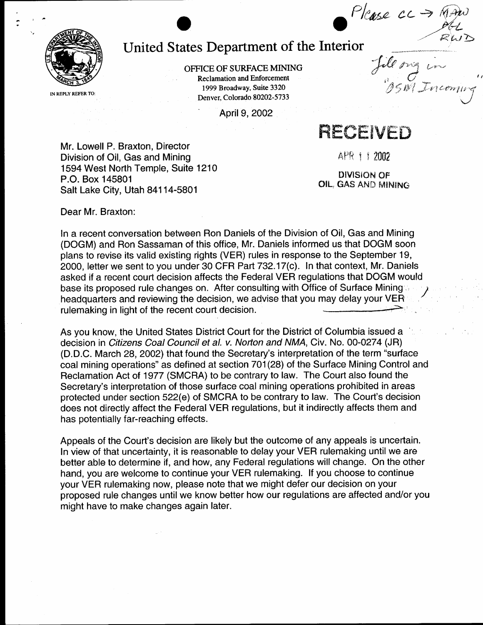Please cc

 $\overrightarrow{C}$ 



## United States Department of the Interior

OFFICE OF SURFACE MINING **Reclamation and Enforcement** 1999 Broadway, Suite 3320 Denver, Colorado 80202-5733

April 9, 2002

RECEIVED

Mr. Lowell P. Braxton, Director Division of Oil, Gas and Mining 1594 West North Temple, Suite 1210 P.O. Box 145801 Salt Lake City, Utah 84114-5801

APR 1 1 2002

**DIVISION OF** OIL, GAS AND MINING

Dear Mr. Braxton:

In a recent conversation between Ron Daniels of the Division of Oil, Gas and Mining (DOGM) and Ron Sassaman of this office, Mr. Daniels informed us that DOGM soon plans to revise its valid existing rights (VER) rules in response to the September 19, 2000, letter we sent to you under 30 CFR Part 732.17(c). In that context, Mr. Daniels asked if a recent court decision affects the Federal VER regulations that DOGM would base its proposed rule changes on. After consulting with Office of Surface Mining headquarters and reviewing the decision, we advise that you may delay your VER rulemaking in light of the recent court decision.

As you know, the United States District Court for the District of Columbia issued a decision in Citizens Coal Council et al. v. Norton and NMA, Civ. No. 00-0274 (JR) (D.D.C. March 28, 2002) that found the Secretary's interpretation of the term "surface" coal mining operations" as defined at section 701(28) of the Surface Mining Control and Reclamation Act of 1977 (SMCRA) to be contrary to law. The Court also found the Secretary's interpretation of those surface coal mining operations prohibited in areas protected under section 522(e) of SMCRA to be contrary to law. The Court's decision does not directly affect the Federal VER regulations, but it indirectly affects them and has potentially far-reaching effects.

Appeals of the Court's decision are likely but the outcome of any appeals is uncertain. In view of that uncertainty, it is reasonable to delay your VER rulemaking until we are better able to determine if, and how, any Federal regulations will change. On the other hand, you are welcome to continue your VER rulemaking. If you choose to continue your VER rulemaking now, please note that we might defer our decision on your proposed rule changes until we know better how our regulations are affected and/or you might have to make changes again later.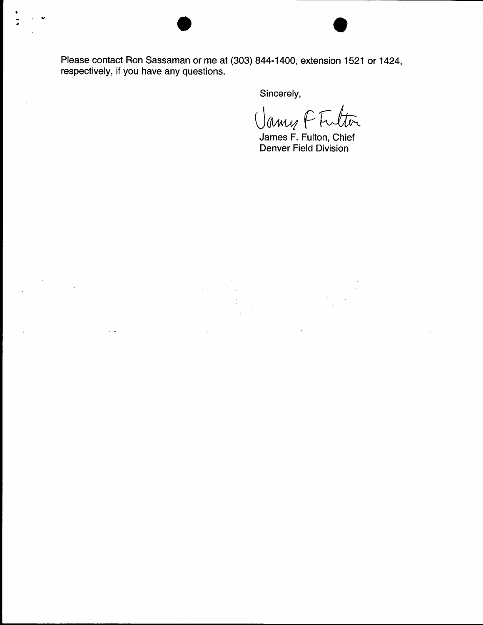Please contact Ron Sassaman or me at (303) 844-1400, extension 1521 or 1424, respectively, if you have any questions.

 $\frac{1}{2}$ 

Sincerely,

 $cl_{aux}$  CT  $H$ Vanne K Autor

James F. Fulton, Chief Denver Field Division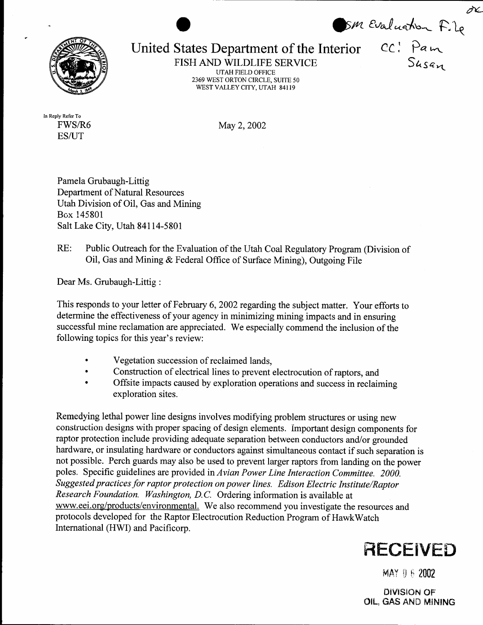ÒŁ. United States Department of the Interior CC: Pam



**UTAH FIELD OFFICE** 2369 WEST ORTON CIRCLE, SUITE 50 WEST VALLEY CITY, UTAH 84119

In Reply Refer To FWS/R6 **ES/UT** 

May 2, 2002

Pamela Grubaugh-Littig Department of Natural Resources Utah Division of Oil, Gas and Mining Box 145801 Salt Lake City, Utah 84114-5801

## Public Outreach for the Evaluation of the Utah Coal Regulatory Program (Division of  $RE:$ Oil, Gas and Mining & Federal Office of Surface Mining), Outgoing File

Dear Ms. Grubaugh-Littig:

This responds to your letter of February 6, 2002 regarding the subject matter. Your efforts to determine the effectiveness of your agency in minimizing mining impacts and in ensuring successful mine reclamation are appreciated. We especially commend the inclusion of the following topics for this year's review:

- Vegetation succession of reclaimed lands,
- Construction of electrical lines to prevent electrocution of raptors, and
- Offsite impacts caused by exploration operations and success in reclaiming exploration sites.

Remedying lethal power line designs involves modifying problem structures or using new construction designs with proper spacing of design elements. Important design components for raptor protection include providing adequate separation between conductors and/or grounded hardware, or insulating hardware or conductors against simultaneous contact if such separation is not possible. Perch guards may also be used to prevent larger raptors from landing on the power poles. Specific guidelines are provided in Avian Power Line Interaction Committee. 2000. Suggested practices for raptor protection on power lines. Edison Electric Institute/Raptor Research Foundation. Washington, D.C. Ordering information is available at www.eei.org/products/environmental. We also recommend you investigate the resources and protocols developed for the Raptor Electrocution Reduction Program of HawkWatch International (HWI) and Pacificorp.



MAY 0 6 2002

**DIVISION OF** OIL, GAS AND MINING